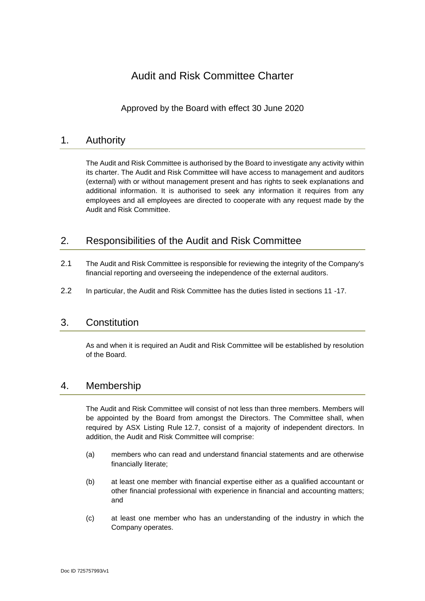# Audit and Risk Committee Charter

Approved by the Board with effect 30 June 2020

## 1. Authority

The Audit and Risk Committee is authorised by the Board to investigate any activity within its charter. The Audit and Risk Committee will have access to management and auditors (external) with or without management present and has rights to seek explanations and additional information. It is authorised to seek any information it requires from any employees and all employees are directed to cooperate with any request made by the Audit and Risk Committee.

## 2. Responsibilities of the Audit and Risk Committee

- 2.1 The Audit and Risk Committee is responsible for reviewing the integrity of the Company's financial reporting and overseeing the independence of the external auditors.
- 2.2 In particular, the Audit and Risk Committee has the duties listed in sections 11 -17.

## 3. Constitution

As and when it is required an Audit and Risk Committee will be established by resolution of the Board.

## 4. Membership

The Audit and Risk Committee will consist of not less than three members. Members will be appointed by the Board from amongst the Directors. The Committee shall, when required by ASX Listing Rule 12.7, consist of a majority of independent directors. In addition, the Audit and Risk Committee will comprise:

- (a) members who can read and understand financial statements and are otherwise financially literate;
- (b) at least one member with financial expertise either as a qualified accountant or other financial professional with experience in financial and accounting matters; and
- (c) at least one member who has an understanding of the industry in which the Company operates.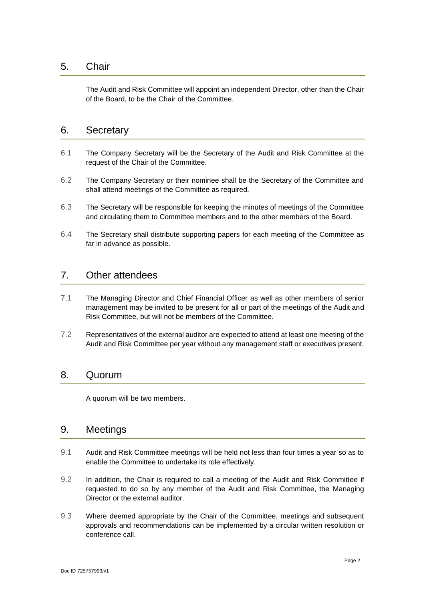#### 5. Chair

The Audit and Risk Committee will appoint an independent Director, other than the Chair of the Board, to be the Chair of the Committee.

#### 6. Secretary

- 6.1 The Company Secretary will be the Secretary of the Audit and Risk Committee at the request of the Chair of the Committee.
- 6.2 The Company Secretary or their nominee shall be the Secretary of the Committee and shall attend meetings of the Committee as required.
- 6.3 The Secretary will be responsible for keeping the minutes of meetings of the Committee and circulating them to Committee members and to the other members of the Board.
- 6.4 The Secretary shall distribute supporting papers for each meeting of the Committee as far in advance as possible.

#### 7. Other attendees

- 7.1 The Managing Director and Chief Financial Officer as well as other members of senior management may be invited to be present for all or part of the meetings of the Audit and Risk Committee, but will not be members of the Committee.
- 7.2 Representatives of the external auditor are expected to attend at least one meeting of the Audit and Risk Committee per year without any management staff or executives present.

#### 8. Quorum

A quorum will be two members.

#### 9. Meetings

- 9.1 Audit and Risk Committee meetings will be held not less than four times a year so as to enable the Committee to undertake its role effectively.
- 9.2 In addition, the Chair is required to call a meeting of the Audit and Risk Committee if requested to do so by any member of the Audit and Risk Committee, the Managing Director or the external auditor.
- 9.3 Where deemed appropriate by the Chair of the Committee, meetings and subsequent approvals and recommendations can be implemented by a circular written resolution or conference call.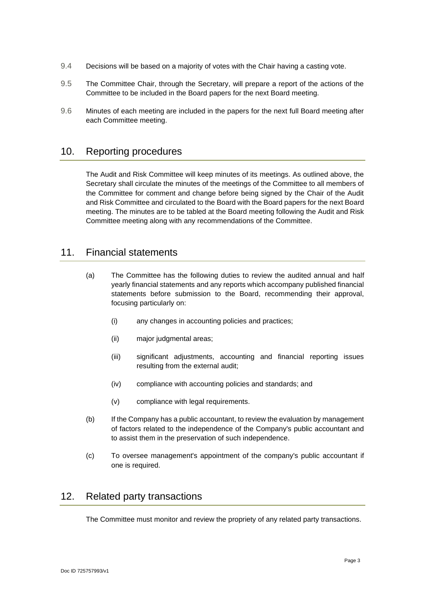- 9.4 Decisions will be based on a majority of votes with the Chair having a casting vote.
- 9.5 The Committee Chair, through the Secretary, will prepare a report of the actions of the Committee to be included in the Board papers for the next Board meeting.
- 9.6 Minutes of each meeting are included in the papers for the next full Board meeting after each Committee meeting.

### 10. Reporting procedures

The Audit and Risk Committee will keep minutes of its meetings. As outlined above, the Secretary shall circulate the minutes of the meetings of the Committee to all members of the Committee for comment and change before being signed by the Chair of the Audit and Risk Committee and circulated to the Board with the Board papers for the next Board meeting. The minutes are to be tabled at the Board meeting following the Audit and Risk Committee meeting along with any recommendations of the Committee.

### 11. Financial statements

- (a) The Committee has the following duties to review the audited annual and half yearly financial statements and any reports which accompany published financial statements before submission to the Board, recommending their approval, focusing particularly on:
	- (i) any changes in accounting policies and practices;
	- (ii) major judgmental areas;
	- (iii) significant adjustments, accounting and financial reporting issues resulting from the external audit;
	- (iv) compliance with accounting policies and standards; and
	- (v) compliance with legal requirements.
- (b) If the Company has a public accountant, to review the evaluation by management of factors related to the independence of the Company's public accountant and to assist them in the preservation of such independence.
- (c) To oversee management's appointment of the company's public accountant if one is required.

## 12. Related party transactions

The Committee must monitor and review the propriety of any related party transactions.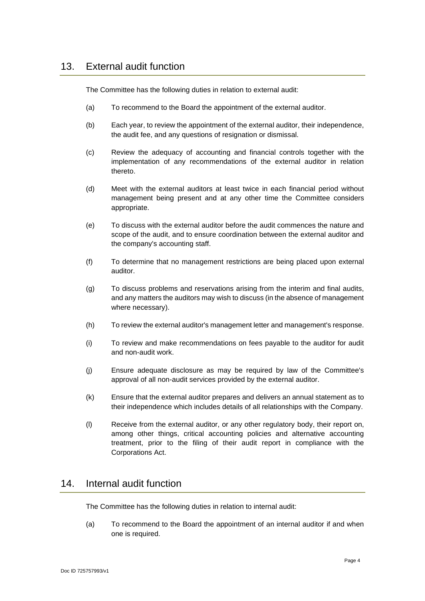The Committee has the following duties in relation to external audit:

- (a) To recommend to the Board the appointment of the external auditor.
- (b) Each year, to review the appointment of the external auditor, their independence, the audit fee, and any questions of resignation or dismissal.
- (c) Review the adequacy of accounting and financial controls together with the implementation of any recommendations of the external auditor in relation thereto.
- (d) Meet with the external auditors at least twice in each financial period without management being present and at any other time the Committee considers appropriate.
- (e) To discuss with the external auditor before the audit commences the nature and scope of the audit, and to ensure coordination between the external auditor and the company's accounting staff.
- (f) To determine that no management restrictions are being placed upon external auditor.
- (g) To discuss problems and reservations arising from the interim and final audits, and any matters the auditors may wish to discuss (in the absence of management where necessary).
- (h) To review the external auditor's management letter and management's response.
- (i) To review and make recommendations on fees payable to the auditor for audit and non-audit work.
- (j) Ensure adequate disclosure as may be required by law of the Committee's approval of all non-audit services provided by the external auditor.
- (k) Ensure that the external auditor prepares and delivers an annual statement as to their independence which includes details of all relationships with the Company.
- (l) Receive from the external auditor, or any other regulatory body, their report on, among other things, critical accounting policies and alternative accounting treatment, prior to the filing of their audit report in compliance with the Corporations Act.

## 14. Internal audit function

The Committee has the following duties in relation to internal audit:

(a) To recommend to the Board the appointment of an internal auditor if and when one is required.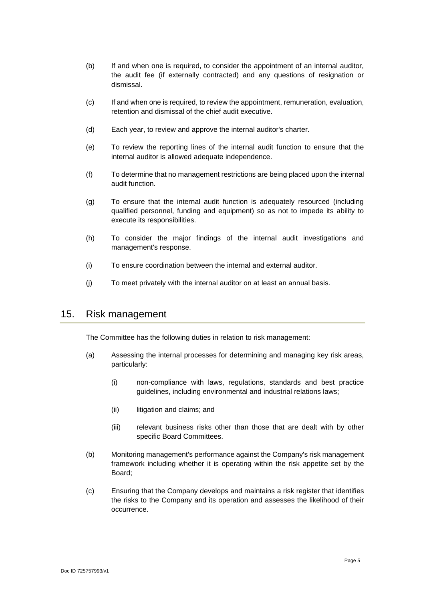- (b) If and when one is required, to consider the appointment of an internal auditor, the audit fee (if externally contracted) and any questions of resignation or dismissal.
- (c) If and when one is required, to review the appointment, remuneration, evaluation, retention and dismissal of the chief audit executive.
- (d) Each year, to review and approve the internal auditor's charter.
- (e) To review the reporting lines of the internal audit function to ensure that the internal auditor is allowed adequate independence.
- (f) To determine that no management restrictions are being placed upon the internal audit function.
- (g) To ensure that the internal audit function is adequately resourced (including qualified personnel, funding and equipment) so as not to impede its ability to execute its responsibilities.
- (h) To consider the major findings of the internal audit investigations and management's response.
- (i) To ensure coordination between the internal and external auditor.
- (j) To meet privately with the internal auditor on at least an annual basis.

#### 15. Risk management

The Committee has the following duties in relation to risk management:

- (a) Assessing the internal processes for determining and managing key risk areas, particularly:
	- (i) non-compliance with laws, regulations, standards and best practice guidelines, including environmental and industrial relations laws;
	- (ii) litigation and claims; and
	- (iii) relevant business risks other than those that are dealt with by other specific Board Committees.
- (b) Monitoring management's performance against the Company's risk management framework including whether it is operating within the risk appetite set by the Board;
- (c) Ensuring that the Company develops and maintains a risk register that identifies the risks to the Company and its operation and assesses the likelihood of their occurrence.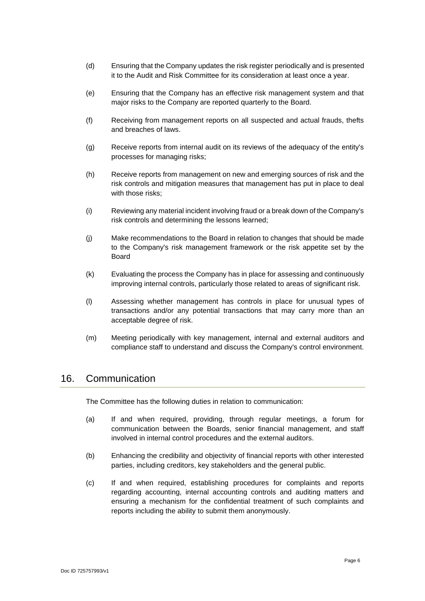- (d) Ensuring that the Company updates the risk register periodically and is presented it to the Audit and Risk Committee for its consideration at least once a year.
- (e) Ensuring that the Company has an effective risk management system and that major risks to the Company are reported quarterly to the Board.
- (f) Receiving from management reports on all suspected and actual frauds, thefts and breaches of laws.
- (g) Receive reports from internal audit on its reviews of the adequacy of the entity's processes for managing risks;
- (h) Receive reports from management on new and emerging sources of risk and the risk controls and mitigation measures that management has put in place to deal with those risks:
- (i) Reviewing any material incident involving fraud or a break down of the Company's risk controls and determining the lessons learned;
- (j) Make recommendations to the Board in relation to changes that should be made to the Company's risk management framework or the risk appetite set by the Board
- (k) Evaluating the process the Company has in place for assessing and continuously improving internal controls, particularly those related to areas of significant risk.
- (l) Assessing whether management has controls in place for unusual types of transactions and/or any potential transactions that may carry more than an acceptable degree of risk.
- (m) Meeting periodically with key management, internal and external auditors and compliance staff to understand and discuss the Company's control environment.

#### 16. Communication

The Committee has the following duties in relation to communication:

- (a) If and when required, providing, through regular meetings, a forum for communication between the Boards, senior financial management, and staff involved in internal control procedures and the external auditors.
- (b) Enhancing the credibility and objectivity of financial reports with other interested parties, including creditors, key stakeholders and the general public.
- (c) If and when required, establishing procedures for complaints and reports regarding accounting, internal accounting controls and auditing matters and ensuring a mechanism for the confidential treatment of such complaints and reports including the ability to submit them anonymously.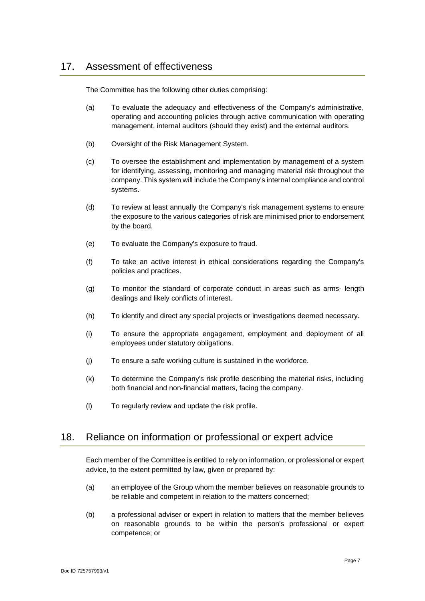The Committee has the following other duties comprising:

- (a) To evaluate the adequacy and effectiveness of the Company's administrative, operating and accounting policies through active communication with operating management, internal auditors (should they exist) and the external auditors.
- (b) Oversight of the Risk Management System.
- (c) To oversee the establishment and implementation by management of a system for identifying, assessing, monitoring and managing material risk throughout the company. This system will include the Company's internal compliance and control systems.
- (d) To review at least annually the Company's risk management systems to ensure the exposure to the various categories of risk are minimised prior to endorsement by the board.
- (e) To evaluate the Company's exposure to fraud.
- (f) To take an active interest in ethical considerations regarding the Company's policies and practices.
- (g) To monitor the standard of corporate conduct in areas such as arms- length dealings and likely conflicts of interest.
- (h) To identify and direct any special projects or investigations deemed necessary.
- (i) To ensure the appropriate engagement, employment and deployment of all employees under statutory obligations.
- (j) To ensure a safe working culture is sustained in the workforce.
- (k) To determine the Company's risk profile describing the material risks, including both financial and non-financial matters, facing the company.
- (l) To regularly review and update the risk profile.

## 18. Reliance on information or professional or expert advice

Each member of the Committee is entitled to rely on information, or professional or expert advice, to the extent permitted by law, given or prepared by:

- (a) an employee of the Group whom the member believes on reasonable grounds to be reliable and competent in relation to the matters concerned;
- (b) a professional adviser or expert in relation to matters that the member believes on reasonable grounds to be within the person's professional or expert competence; or